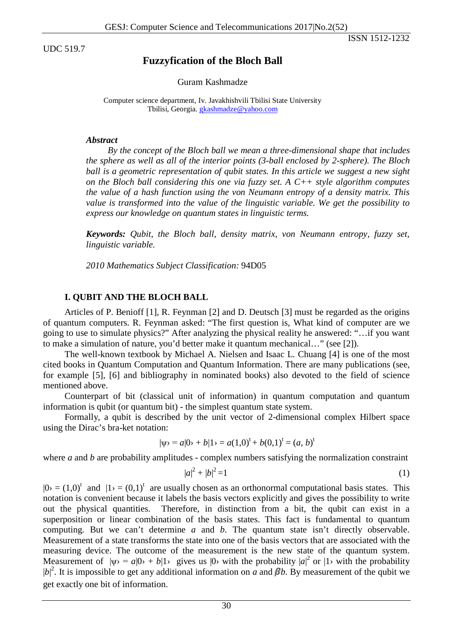UDC 519.7

ISSN 1512-1232

# **Fuzzyfication of the Bloch Ball**

#### Guram Kashmadze

Computer science department, Iv. Javakhishvili Tbilisi State University Tbilisi, Georgia. **[gkashmadze@yahoo.com](mailto:gkashmadze@yahoo.com)** 

#### *Abstract*

*By the concept of the Bloch ball we mean a three-dimensional shape that includes the sphere as well as all of the interior points (3-ball enclosed by 2-sphere). The Bloch ball is a geometric representation of qubit states. In this article we suggest a new sight on the Bloch ball considering this one via fuzzy set. A C++ style algorithm computes the value of a hash function using the von Neumann entropy of a density matrix. This value is transformed into the value of the linguistic variable. We get the possibility to express our knowledge on quantum states in linguistic terms.*

*Keywords: Qubit, the Bloch ball, density matrix, von Neumann entropy, fuzzy set, linguistic variable.*

*2010 Mathematics Subject Classification:* 94D05

## **I. QUBIT AND THE BLOCH BALL**

Articles of P. Benioff [1], R. Feynman [2] and D. Deutsch [3] must be regarded as the origins of quantum computers. R. Feynman asked: "The first question is, What kind of computer are we going to use to simulate physics?" After analyzing the physical reality he answered: "…if you want to make a simulation of nature, you'd better make it quantum mechanical…" (see [2]).

The well-known textbook by Michael A. Nielsen and Isaac L. Chuang [4] is one of the most cited books in Quantum Computation and Quantum Information. There are many publications (see, for example [5], [6] and bibliography in nominated books) also devoted to the field of science mentioned above.

Counterpart of bit (classical unit of information) in quantum computation and quantum information is qubit (or quantum bit) - the simplest quantum state system.

Formally, a qubit is described by the unit vector of 2-dimensional complex Hilbert space using the Dirac's bra-ket notation:

$$
|\psi\rangle = a|0\rangle + b|1\rangle = a(1,0)^{t} + b(0,1)^{t} = (a, b)^{t}
$$

where *a* and *b* are probability amplitudes - complex numbers satisfying the normalization constraint

$$
|a|^2 + |b|^2 = 1\tag{1}
$$

 $|0\rangle = (1,0)^t$  and  $|1\rangle = (0,1)^t$  are usually chosen as an orthonormal computational basis states. This notation is convenient because it labels the basis vectors explicitly and gives the possibility to write out the physical quantities. Therefore, in distinction from a bit, the qubit can exist in a superposition or linear combination of the basis states. This fact is fundamental to quantum computing. But we can't determine *a* and *b*. The quantum state isn't directly observable. Measurement of a state transforms the state into one of the basis vectors that are associated with the measuring device. The outcome of the measurement is the new state of the quantum system. Measurement of  $|\psi\rangle = a|0\rangle + b|1\rangle$  gives us  $|0\rangle$  with the probability  $|a|^2$  or  $|1\rangle$  with the probability  $|b|^2$ . It is impossible to get any additional information on *a* and  $\beta b$ . By measurement of the qubit we get exactly one bit of information.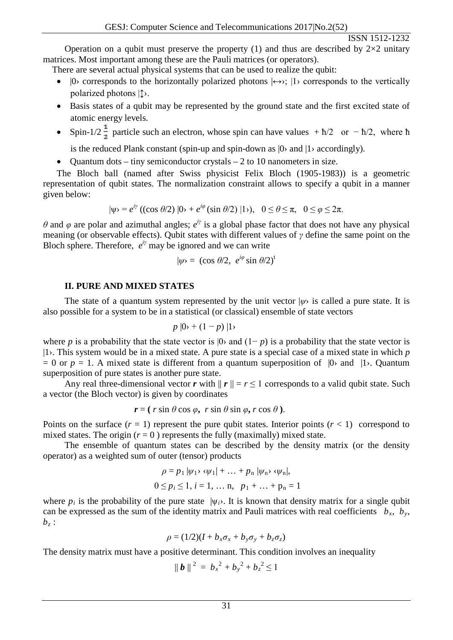ISSN 1512-1232

Operation on a qubit must preserve the property (1) and thus are described by  $2\times2$  unitary matrices. Most important among these are the Pauli matrices (or operators).

There are several actual physical systems that can be used to realize the qubit:

- $|0\rangle$  corresponds to the horizontally polarized photons  $|\leftrightarrow\rangle$ ;  $|1\rangle$  corresponds to the vertically polarized photons |↕›.
- Basis states of a qubit may be represented by the ground state and the first excited state of atomic energy levels.
- Spin-1/2  $\frac{1}{2}$  particle such an electron, whose spin can have values +  $\frac{1}{2}$  or  $-\frac{\hbar}{2}$ , where h

is the reduced Plank constant (spin-up and spin-down as  $|0\rangle$  and  $|1\rangle$  accordingly).

• Quantum dots – tiny semiconductor crystals – 2 to 10 nanometers in size.

 The Bloch ball (named after Swiss physicist Felix Bloch (1905-1983)) is a geometric representation of qubit states. The normalization constraint allows to specify a qubit in a manner given below:

$$
|\psi\rangle = e^{i\gamma} \left( (\cos \theta/2) |0\rangle + e^{i\phi} (\sin \theta/2) |1\rangle \right), \quad 0 \le \theta \le \pi, \quad 0 \le \varphi \le 2\pi.
$$

*θ* and *φ* are polar and azimuthal angles;  $e^{iy}$  is a global phase factor that does not have any physical meaning (or observable effects). Qubit states with different values of *γ* define the same point on the Bloch sphere. Therefore,  $e^{iy}$  may be ignored and we can write

$$
|\psi\rangle = (\cos \theta/2, e^{i\varphi} \sin \theta/2)^t
$$

## **II. PURE AND MIXED STATES**

The state of a quantum system represented by the unit vector  $|\psi\rangle$  is called a pure state. It is also possible for a system to be in a statistical (or classical) ensemble of state vectors

$$
p\mid 0 \rangle + (1-p)\mid 1 \rangle
$$

where *p* is a probability that the state vector is  $|0\rangle$  and  $(1-p)$  is a probability that the state vector is |1›. This system would be in a mixed state. A pure state is a special case of a mixed state in which *p*  $= 0$  or  $p = 1$ . A mixed state is different from a quantum superposition of  $|0\rangle$  and  $|1\rangle$ . Quantum superposition of pure states is another pure state.

Any real three-dimensional vector *r* with  $||r|| = r \le 1$  corresponds to a valid qubit state. Such a vector (the Bloch vector) is given by coordinates

$$
\mathbf{r} = (r \sin \theta \cos \varphi, r \sin \theta \sin \varphi, r \cos \theta).
$$

Points on the surface  $(r = 1)$  represent the pure qubit states. Interior points  $(r < 1)$  correspond to mixed states. The origin  $(r = 0)$  represents the fully (maximally) mixed state.

The ensemble of quantum states can be described by the density matrix (or the density operator) as a weighted sum of outer (tensor) products

$$
\rho = p_1 |\psi_1\rangle \langle \psi_1| + \dots + p_n |\psi_n\rangle \langle \psi_n|,
$$
  
0 \le p\_i \le 1, i = 1, \dots n, p\_1 + \dots + p\_n = 1

where  $p_i$  is the probability of the pure state  $|\psi_i\rangle$ . It is known that density matrix for a single qubit can be expressed as the sum of the identity matrix and Pauli matrices with real coefficients  $b_x$ ,  $b_y$ ,  $b_z$ :

$$
\rho = (1/2)(I + b_x \sigma_x + b_y \sigma_y + b_z \sigma_z)
$$

The density matrix must have a positive determinant. This condition involves an inequality

$$
\| \bm{b} \|^2 = b_x^2 + b_y^2 + b_z^2 \le 1
$$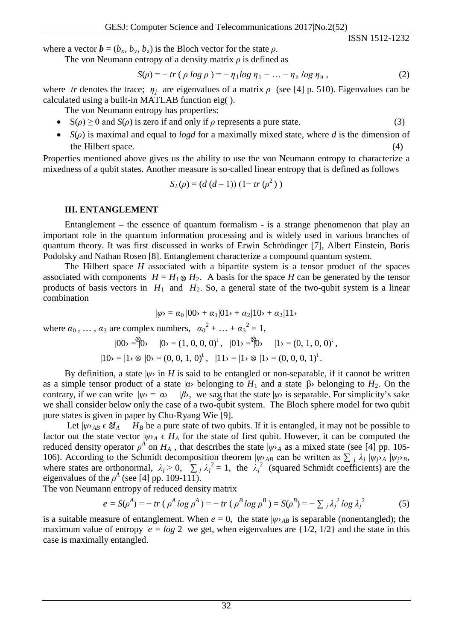ISSN 1512-1232

where a vector  $\mathbf{b} = (b_x, b_y, b_z)$  is the Bloch vector for the state  $\rho$ .

The von Neumann entropy of a density matrix *ρ* is defined as

$$
S(\rho) = -\operatorname{tr}(\rho \log \rho) = -\eta_1 \log \eta_1 - \dots - \eta_n \log \eta_n, \qquad (2)
$$

where *tr* denotes the trace;  $\eta_i$  are eigenvalues of a matrix  $\rho$  (see [4] p. 510). Eigenvalues can be calculated using a built-in MATLAB function eig( ).

The von Neumann entropy has properties:

- $S(\rho) \ge 0$  and  $S(\rho)$  is zero if and only if  $\rho$  represents a pure state. (3)
- *S*(*ρ*) is maximal and equal to *logd* for a maximally mixed state, where *d* is the dimension of the Hilbert space.

Properties mentioned above gives us the ability to use the von Neumann entropy to characterize a mixedness of a qubit states. Another measure is so-called linear entropy that is defined as follows

$$
S_L(\rho) = (d (d-1)) (1 - tr (\rho^2))
$$

#### **III. ENTANGLEMENT**

Entanglement – the essence of quantum formalism - is a strange phenomenon that play an important role in the quantum information processing and is widely used in various branches of quantum theory. It was first discussed in works of Erwin Schrödinger [7], Albert Einstein, Boris Podolsky and Nathan Rosen [8]. Entanglement characterize a compound quantum system.

The Hilbert space *H* associated with a bipartite system is a tensor product of the spaces associated with components  $H = H_1 \otimes H_2$ . A basis for the space *H* can be generated by the tensor products of basis vectors in  $H_1$  and  $H_2$ . So, a general state of the two-qubit system is a linear combination

$$
|\psi\rangle = \alpha_0 |00\rangle + \alpha_1 |01\rangle + \alpha_2 |10\rangle + \alpha_3 |11\rangle
$$

where  $\alpha_0, \ldots, \alpha_3$  are complex numbers,  $\alpha_0^2 + \ldots + \alpha_3^2 = 1$ ,

$$
|00\rangle = |0\rangle
$$
  $|0\rangle = (1, 0, 0, 0)^t$ ,  $|01\rangle = |0\rangle$   $|1\rangle = (0, 1, 0, 0)^t$ ,

$$
|10\rangle = |1\rangle \otimes |0\rangle = (0, 0, 1, 0)^{t}, \quad |11\rangle = |1\rangle \otimes |1\rangle = (0, 0, 0, 1)^{t}.
$$

By definition, a state  $|\psi\rangle$  in *H* is said to be entangled or non-separable, if it cannot be written as a simple tensor product of a state  $|\alpha \rangle$  belonging to  $H_1$  and a state  $|\beta \rangle$  belonging to  $H_2$ . On the contrary, if we can write  $|\psi\rangle = |\alpha\rangle$  |*β*>, we say that the state  $|\psi\rangle$  is separable. For simplicity's sake we shall consider below only the case of a two-qubit system. The Bloch sphere model for two qubit pure states is given in paper by Chu-Ryang Wie [9].

Let  $|\psi\rangle_{AB} \in \mathfrak{A}_A$  *H<sub>B</sub>* be a pure state of two qubits. If it is entangled, it may not be possible to factor out the state vector  $|\psi\rangle_A \in H_A$  for the state of first qubit. However, it can be computed the reduced density operator  $\rho^A$  on  $H_A$ , that describes the state  $|\psi\rangle_A$  as a mixed state (see [4] pp. 105-106). According to the Schmidt decomposition theorem  $|\psi\rangle_{AB}$  can be written as  $\sum_i \lambda_i |\psi_i\rangle_A |\psi_i\rangle_B$ , where states are orthonormal,  $\lambda_j > 0$ ,  $\sum_j \lambda_j^2 = 1$ , the  $\lambda_j^2$  (squared Schmidt coefficients) are the eigenvalues of the  $\rho^A$  (see [4] pp. 109-111).

The von Neumann entropy of reduced density matrix

$$
e = S(\rho^{A}) = -\operatorname{tr}(\rho^{A} \log \rho^{A}) = -\operatorname{tr}(\rho^{B} \log \rho^{B}) = S(\rho^{B}) = -\sum_{j} \lambda_{j}^{2} \log \lambda_{j}^{2}
$$
(5)

is a suitable measure of entanglement. When  $e = 0$ , the state  $|\psi\rangle_{AB}$  is separable (nonentangled); the maximum value of entropy  $e = log 2$  we get, when eigenvalues are  $\{1/2, 1/2\}$  and the state in this case is maximally entangled.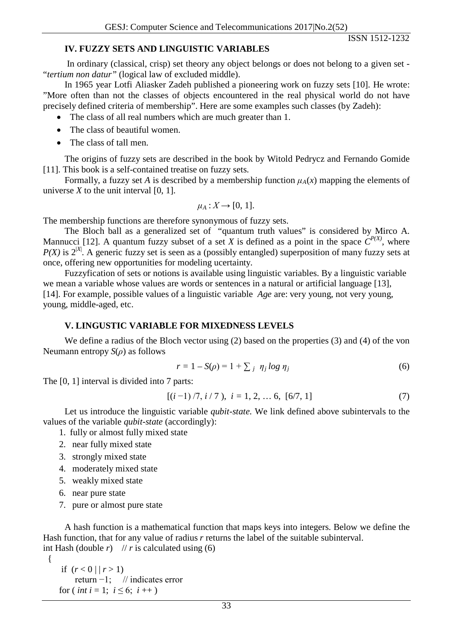### **IV. FUZZY SETS AND LINGUISTIC VARIABLES**

In ordinary (classical, crisp) set theory any object belongs or does not belong to a given set - "*tertium non datur"* (logical law of excluded middle).

In 1965 year Lotfi Aliasker Zadeh published a pioneering work on fuzzy sets [10]. He wrote: "More often than not the classes of objects encountered in the real physical world do not have precisely defined criteria of membership". Here are some examples such classes (by Zadeh):

• The class of all real numbers which are much greater than 1.

- The class of beautiful women.
- The class of tall men.

The origins of fuzzy sets are described in the book by Witold Pedrycz and Fernando Gomide [11]. This book is a self-contained treatise on fuzzy sets.

Formally, a fuzzy set *A* is described by a membership function  $\mu_A(x)$  mapping the elements of universe  $X$  to the unit interval  $[0, 1]$ .

$$
\mu_A: X \to [0, 1].
$$

The membership functions are therefore synonymous of fuzzy sets.

The Bloch ball as a generalized set of "quantum truth values" is considered by Mirco A. Mannucci [12]. A quantum fuzzy subset of a set *X* is defined as a point in the space  $C^{P(X)}$ , where  $P(X)$  is  $2^{|X|}$ . A generic fuzzy set is seen as a (possibly entangled) superposition of many fuzzy sets at once, offering new opportunities for modeling ucertainty.

Fuzzyfication of sets or notions is available using linguistic variables. By a linguistic variable we mean a variable whose values are words or sentences in a natural or artificial language [13], [14]. For example, possible values of a linguistic variable *Age* are: very young, not very young, young, middle-aged, etc.

### **V. LINGUSTIC VARIABLE FOR MIXEDNESS LEVELS**

We define a radius of the Bloch vector using (2) based on the properties (3) and (4) of the von Neumann entropy *S*(*ρ*) as follows

$$
r = 1 - S(\rho) = 1 + \sum_{j} \eta_j \log \eta_j \tag{6}
$$

The [0, 1] interval is divided into 7 parts:

$$
[(i-1)/7, i/7), i = 1, 2, \dots 6, [6/7, 1]
$$
 (7)

Let us introduce the linguistic variable *qubit-state.* We link defined above subintervals to the values of the variable *qubit-state* (accordingly):

- 1. fully or almost fully mixed state
- 2. near fully mixed state
- 3. strongly mixed state
- 4. moderately mixed state
- 5. weakly mixed state
- 6. near pure state

{

7. pure or almost pure state

A hash function is a mathematical function that maps keys into integers. Below we define the Hash function, that for any value of radius *r* returns the label of the suitable subinterval. int Hash (double  $r$ ) //  $r$  is calculated using (6)

if  $(r < 0 \mid | r > 1)$  return −1; // indicates error for ( *int*  $i = 1$ ;  $i \leq 6$ ;  $i + 1$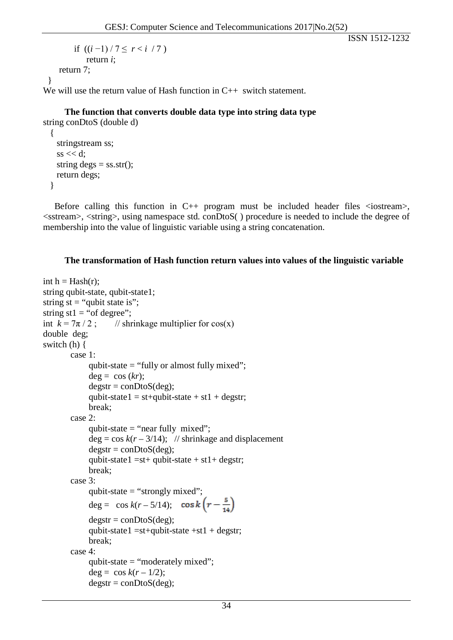ISSN 1512-1232

```
if ((i-1)/7 < r < i / 7) return i; 
     return 7;
  }
We will use the return value of Hash function in C++ switch statement.
```
**The function that converts double data type into string data type** string conDtoS (double d)

```
 {
  stringstream ss;
 ss \ll d;
 string degs = ss.str();
  return degs;
 }
```
Before calling this function in  $C_{++}$  program must be included header files  $\langle$ iostream $\rangle$ ,  $\leq$ sstream $>$ ,  $\leq$ string $>$ , using namespace std. conDtoS $\leq$ ) procedure is needed to include the degree of membership into the value of linguistic variable using a string concatenation.

### **The transformation of Hash function return values into values of the linguistic variable**

```
int h = Hash(r);
string qubit-state, qubit-state1;
string st = "qubit state is";string st1 = "of degree";int k = 7\pi/2; // shrinkage multiplier for cos(x)
double deg;
switch (h) {
         case 1:
              qubit-state = "fully or almost fully mixed";
              deg = cos (kr);\text{degstr} = \text{conDtoS}(\text{deg});qubit-state1 = st+qubit-state + st1 + degstr; break; 
         case 2: 
              qubit-state = "near fully mixed";
              deg = cos k(r - 3/14); // shrinkage and displacement
              \text{degstr} = \text{conDtoS}(\text{deg});qubit-state1 = st+ qubit-state + st1+ degstr;
               break; 
         case 3:
              qubit-state = "strongly mixed";
              deg = \cos k(r - 5/14); \cos k(r - \frac{5}{14})\text{degstr} = \text{conDtoS}(\text{deg});qubit-state1 =st+qubit-state +st1 + degstr;
               break; 
         case 4:
               qubit-state = "moderately mixed";
              deg = cos k(r-1/2);degstr = conDtoS(deg);
```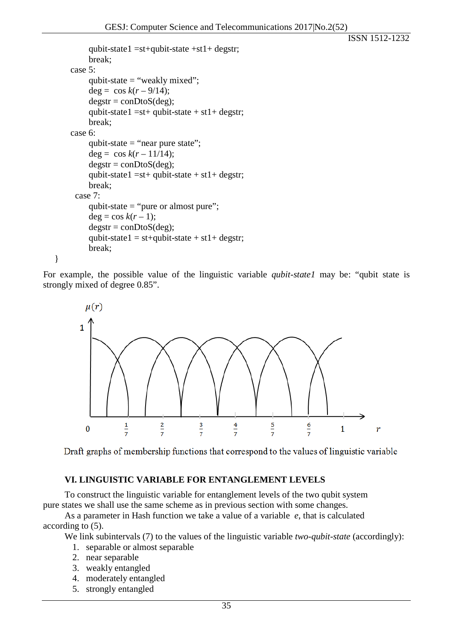```
ISSN 1512-1232
```

```
qubit-state1 = st+qubit-state +st1+ degstr; break; 
 case 5:
      qubit-state = "weakly mixed";
     deg = \cos k(r - 9/14);\text{degstr} = \text{conDtoS}(\text{deg});qubit-state1 = st+ qubit-state + st1+ degstr;
      break; 
 case 6:
     qubit-state = "near pure state";
      deg = \cos k(r - 11/14);\text{degstr} = \text{conDtoS}(\text{deg});qubit-state1 = st+ qubit-state + st1+ degstr;
      break;
  case 7:
      qubit-state = "pure or almost pure";
     deg = cos k(r-1);\text{degstr} = \text{conDtoS}(\text{deg});qubit-state1 = st+qubit-state + st1+ degstr; break;
```
For example, the possible value of the linguistic variable *qubit-state1* may be: "qubit state is strongly mixed of degree 0.85".



Draft graphs of membership functions that correspond to the values of linguistic variable

### **VI. LINGUISTIC VARIABLE FOR ENTANGLEMENT LEVELS**

To construct the linguistic variable for entanglement levels of the two qubit system pure states we shall use the same scheme as in previous section with some changes.

As a parameter in Hash function we take a value of a variable *e*, that is calculated according to (5).

We link subintervals (7) to the values of the linguistic variable *two-qubit-state* (accordingly):

- 1. separable or almost separable
- 2. near separable

}

- 3. weakly entangled
- 4. moderately entangled
- 5. strongly entangled